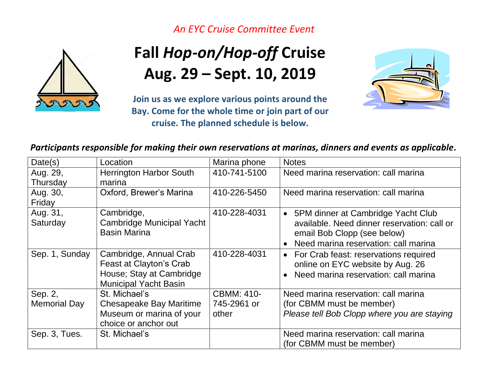*An EYC Cruise Committee Event*



## **Fall** *Hop-on/Hop-off* **Cruise Aug. 29 – Sept. 10, 2019**

**Join us as we explore various points around the Bay. Come for the whole time or join part of our cruise. The planned schedule is below.**



*Participants responsible for making their own reservations at marinas, dinners and events as applicable***.**

| Date(s)             | Location                         | Marina phone      | <b>Notes</b>                                      |
|---------------------|----------------------------------|-------------------|---------------------------------------------------|
| Aug. 29,            | <b>Herrington Harbor South</b>   | 410-741-5100      | Need marina reservation: call marina              |
| Thursday            | marina                           |                   |                                                   |
| Aug. 30,            | Oxford, Brewer's Marina          | 410-226-5450      | Need marina reservation: call marina              |
| Friday              |                                  |                   |                                                   |
| Aug. 31,            | Cambridge,                       | 410-228-4031      | • 5PM dinner at Cambridge Yacht Club              |
| Saturday            | <b>Cambridge Municipal Yacht</b> |                   | available. Need dinner reservation: call or       |
|                     | <b>Basin Marina</b>              |                   | email Bob Clopp (see below)                       |
|                     |                                  |                   | Need marina reservation: call marina<br>$\bullet$ |
| Sep. 1, Sunday      | Cambridge, Annual Crab           | 410-228-4031      | • For Crab feast: reservations required           |
|                     | Feast at Clayton's Crab          |                   | online on EYC website by Aug. 26                  |
|                     | House; Stay at Cambridge         |                   | Need marina reservation: call marina<br>$\bullet$ |
|                     | <b>Municipal Yacht Basin</b>     |                   |                                                   |
| Sep. 2,             | St. Michael's                    | <b>CBMM: 410-</b> | Need marina reservation: call marina              |
| <b>Memorial Day</b> | <b>Chesapeake Bay Maritime</b>   | 745-2961 or       | (for CBMM must be member)                         |
|                     | Museum or marina of your         | other             | Please tell Bob Clopp where you are staying       |
|                     | choice or anchor out             |                   |                                                   |
| Sep. 3, Tues.       | St. Michael's                    |                   | Need marina reservation: call marina              |
|                     |                                  |                   | (for CBMM must be member)                         |